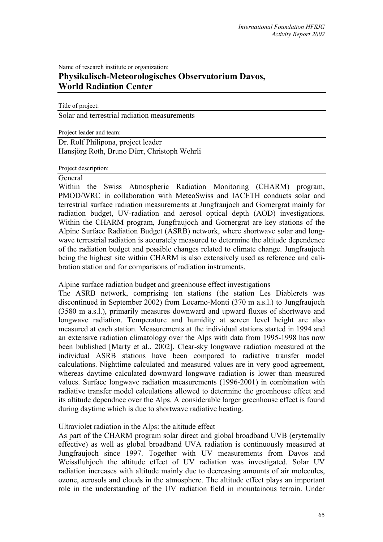# Name of research institute or organization: **Physikalisch-Meteorologisches Observatorium Davos, World Radiation Center**

Title of project:

Solar and terrestrial radiation measurements

Project leader and team:

Dr. Rolf Philipona, project leader Hansjörg Roth, Bruno Dürr, Christoph Wehrli

Project description:

#### General

Within the Swiss Atmospheric Radiation Monitoring (CHARM) program, PMOD/WRC in collaboration with MeteoSwiss and IACETH conducts solar and terrestrial surface radiation measurements at Jungfraujoch and Gornergrat mainly for radiation budget, UV-radiation and aerosol optical depth (AOD) investigations. Within the CHARM program, Jungfraujoch and Gornergrat are key stations of the Alpine Surface Radiation Budget (ASRB) network, where shortwave solar and longwave terrestrial radiation is accurately measured to determine the altitude dependence of the radiation budget and possible changes related to climate change. Jungfraujoch being the highest site within CHARM is also extensively used as reference and calibration station and for comparisons of radiation instruments.

Alpine surface radiation budget and greenhouse effect investigations

The ASRB network, comprising ten stations (the station Les Diablerets was discontinued in September 2002) from Locarno-Monti (370 m a.s.l.) to Jungfraujoch (3580 m a.s.l.), primarily measures downward and upward fluxes of shortwave and longwave radiation. Temperature and humidity at screen level height are also measured at each station. Measurements at the individual stations started in 1994 and an extensive radiation climatology over the Alps with data from 1995-1998 has now been bublished [Marty et al., 2002]. Clear-sky longwave radiation measured at the individual ASRB stations have been compared to radiative transfer model calculations. Nighttime calculated and measured values are in very good agreement, whereas daytime calculated downward longwave radiation is lower than measured values. Surface longwave radiation measurements (1996-2001) in combination with radiative transfer model calculations allowed to determine the greenhouse effect and its altitude dependnce over the Alps. A considerable larger greenhouse effect is found during daytime which is due to shortwave radiative heating.

## Ultraviolet radiation in the Alps: the altitude effect

As part of the CHARM program solar direct and global broadband UVB (erytemally effective) as well as global broadband UVA radiation is continuously measured at Jungfraujoch since 1997. Together with UV measurements from Davos and Weissfluhjoch the altitude effect of UV radiation was investigated. Solar UV radiation increases with altitude mainly due to decreasing amounts of air molecules, ozone, aerosols and clouds in the atmosphere. The altitude effect plays an important role in the understanding of the UV radiation field in mountainous terrain. Under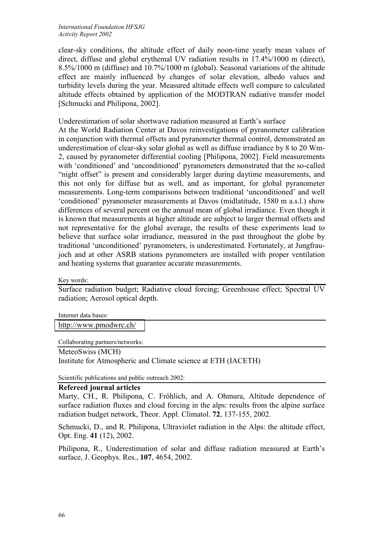clear-sky conditions, the altitude effect of daily noon-time yearly mean values of direct, diffuse and global erythemal UV radiation results in 17.4%/1000 m (direct), 8.5%/1000 m (diffuse) and 10.7%/1000 m (global). Seasonal variations of the altitude effect are mainly influenced by changes of solar elevation, albedo values and turbidity levels during the year. Measured altitude effects well compare to calculated altitude effects obtained by application of the MODTRAN radiative transfer model [Schmucki and Philipona, 2002].

Underestimation of solar shortwave radiation measured at Earth's surface

At the World Radiation Center at Davos reinvestigations of pyranometer calibration in conjunction with thermal offsets and pyranometer thermal control, demonstrated an underestimation of clear-sky solar global as well as diffuse irradiance by 8 to 20 Wm-2, caused by pyranometer differential cooling [Philipona, 2002]. Field measurements with 'conditioned' and 'unconditioned' pyranometers demonstrated that the so-called "night offset" is present and considerably larger during daytime measurements, and this not only for diffuse but as well, and as important, for global pyranometer measurements. Long-term comparisons between traditional 'unconditioned' and well 'conditioned' pyranometer measurements at Davos (midlatitude, 1580 m a.s.l.) show differences of several percent on the annual mean of global irradiance. Even though it is known that measurements at higher altitude are subject to larger thermal offsets and not representative for the global average, the results of these experiments lead to believe that surface solar irradiance, measured in the past throughout the globe by traditional 'unconditioned' pyranometers, is underestimated. Fortunately, at Jungfraujoch and at other ASRB stations pyranometers are installed with proper ventilation and heating systems that guarantee accurate measurements.

Key words:

Surface radiation budget; Radiative cloud forcing; Greenhouse effect; Spectral UV radiation; Aerosol optical depth.

Internet data bases:

<http://www.pmodwrc.ch/>

Collaborating partners/networks:

MeteoSwiss (MCH) Institute for Atmospheric and Climate science at ETH (IACETH)

Scientific publications and public outreach 2002:

## **Refereed journal articles**

Marty, CH., R. Philipona, C. Fröhlich, and A. Ohmura, Altitude dependence of surface radiation fluxes and cloud forcing in the alps: results from the alpine surface radiation budget network, Theor. Appl. Climatol. **72**, 137-155, 2002.

Schmucki, D., and R. Philipona, Ultraviolet radiation in the Alps: the altitude effect, Opt. Eng. **41** (12), 2002.

Philipona, R., Underestimation of solar and diffuse radiation measured at Earth's surface, J. Geophys. Res., **107**, 4654, 2002.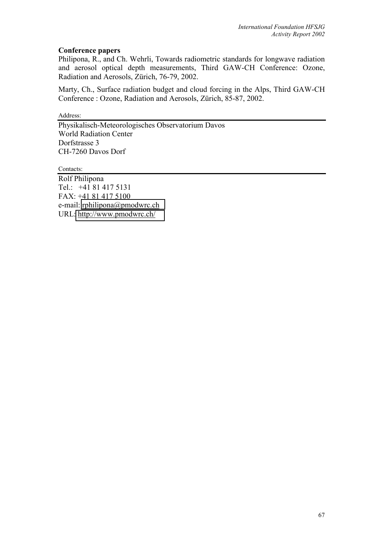#### **Conference papers**

Philipona, R., and Ch. Wehrli, Towards radiometric standards for longwave radiation and aerosol optical depth measurements, Third GAW-CH Conference: Ozone, Radiation and Aerosols, Zürich, 76-79, 2002.

Marty, Ch., Surface radiation budget and cloud forcing in the Alps, Third GAW-CH Conference : Ozone, Radiation and Aerosols, Zürich, 85-87, 2002.

Address:

Physikalisch-Meteorologisches Observatorium Davos World Radiation Center Dorfstrasse 3 CH-7260 Davos Dorf

Contacts:

Rolf Philipona Tel.: +41 81 417 5131 FAX: +41 81 417 5100 e-mail: [rphilipona@pmodwrc.ch](mailto:rphilipona@pmodwrc.ch) URL:<http://www.pmodwrc.ch/>